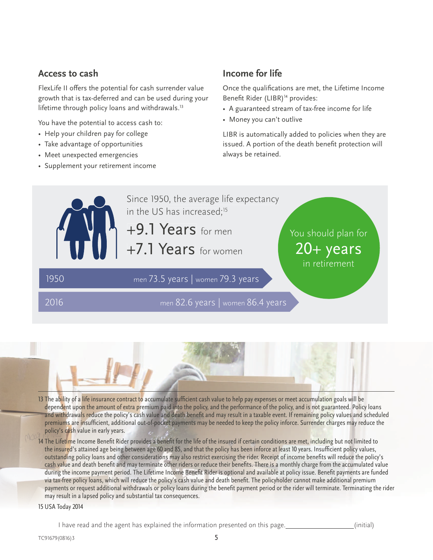#### **Access to cash**

FlexLife II offers the potential for cash surrender value growth that is tax-deferred and can be used during your lifetime through policy loans and withdrawals.<sup>13</sup>

You have the potential to access cash to:

- Help your children pay for college
- Take advantage of opportunities
- Meet unexpected emergencies
- Supplement your retirement income

## **Income for life**

Once the qualifications are met, the Lifetime Income Benefit Rider (LIBR)<sup>14</sup> provides:

- A guaranteed stream of tax-free income for life
- Money you can't outlive

LIBR is automatically added to policies when they are issued. A portion of the death benefit protection will always be retained.





13 The ability of a life insurance contract to accumulate sufficient cash value to help pay expenses or meet accumulation goals will be dependent upon the amount of extra premium paid into the policy, and the performance of the policy, and is not guaranteed. Policy loans and withdrawals reduce the policy's cash value and death benefit and may result in a taxable event. If remaining policy values and scheduled premiums are insufficient, additional out-of-pocket payments may be needed to keep the policy inforce. Surrender charges may reduce the policy's cash value in early years.

14 The Lifetime Income Benefit Rider provides a benefit for the life of the insured if certain conditions are met, including but not limited to the insured's attained age being between age 60 and 85, and that the policy has been inforce at least 10 years. Insufficient policy values, outstanding policy loans and other considerations may also restrict exercising the rider. Receipt of income benefits will reduce the policy's cash value and death benefit and may terminate other riders or reduce their benefits. There is a monthly charge from the accumulated value during the income payment period. The Lifetime Income Benefit Rider is optional and available at policy issue. Benefit payments are funded via tax-free policy loans, which will reduce the policy's cash value and death benefit. The policyholder cannot make additional premium payments or request additional withdrawals or policy loans during the benefit payment period or the rider will terminate. Terminating the rider may result in a lapsed policy and substantial tax consequences.

15 USA Today 2014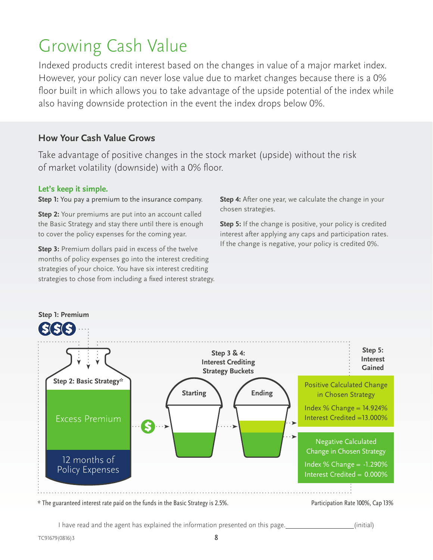## Growing Cash Value

Indexed products credit interest based on the changes in value of a major market index. However, your policy can never lose value due to market changes because there is a 0% floor built in which allows you to take advantage of the upside potential of the index while also having downside protection in the event the index drops below 0%.

## **How Your Cash Value Grows**

Take advantage of positive changes in the stock market (upside) without the risk of market volatility (downside) with a 0% floor.

#### **Let's keep it simple.**

**Step 1:** You pay a premium to the insurance company.

**Step 2:** Your premiums are put into an account called the Basic Strategy and stay there until there is enough to cover the policy expenses for the coming year.

**Step 3:** Premium dollars paid in excess of the twelve months of policy expenses go into the interest crediting strategies of your choice. You have six interest crediting strategies to chose from including a fixed interest strategy. **Step 4:** After one year, we calculate the change in your chosen strategies.

**Step 5:** If the change is positive, your policy is credited interest after applying any caps and participation rates. If the change is negative, your policy is credited 0%.



\* The guaranteed interest rate paid on the funds in the Basic Strategy is 2.5%. Participation Rate 100%, Cap 13%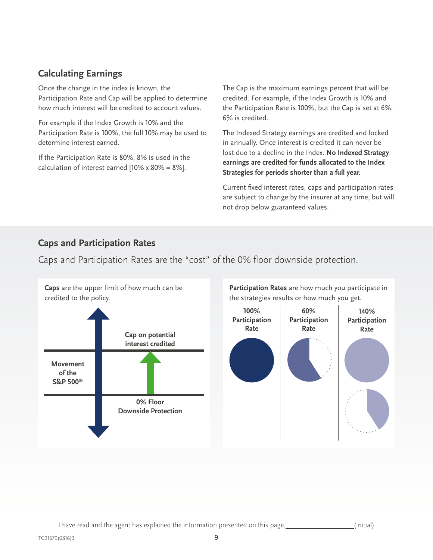## **Calculating Earnings**

Once the change in the index is known, the Participation Rate and Cap will be applied to determine how much interest will be credited to account values.

For example if the Index Growth is 10% and the Participation Rate is 100%, the full 10% may be used to determine interest earned.

If the Participation Rate is 80%, 8% is used in the calculation of interest earned  $[10% \times 80\% = 8\%]$ .

The Cap is the maximum earnings percent that will be credited. For example, if the Index Growth is 10% and the Participation Rate is 100%, but the Cap is set at 6%, 6% is credited.

The Indexed Strategy earnings are credited and locked in annually. Once interest is credited it can never be lost due to a decline in the Index. **No Indexed Strategy earnings are credited for funds allocated to the Index Strategies for periods shorter than a full year.**

Current fixed interest rates, caps and participation rates are subject to change by the insurer at any time, but will not drop below guaranteed values.

## **Caps and Participation Rates**

Caps and Participation Rates are the "cost" of the 0% floor downside protection.